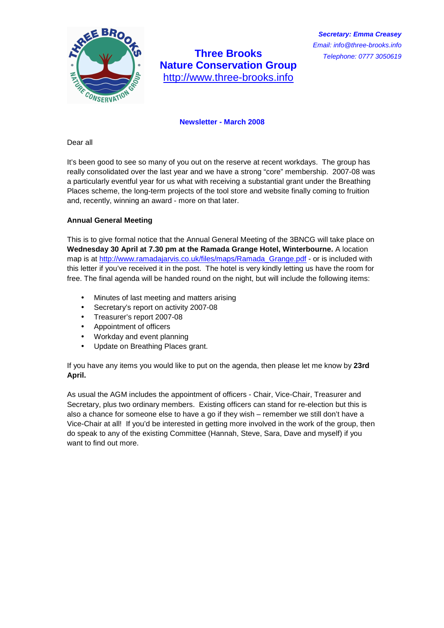

# **Three Brooks Nature Conservation Group**  http://www.three-brooks.info

## **Newsletter - March 2008**

Dear all

It's been good to see so many of you out on the reserve at recent workdays. The group has really consolidated over the last year and we have a strong "core" membership. 2007-08 was a particularly eventful year for us what with receiving a substantial grant under the Breathing Places scheme, the long-term projects of the tool store and website finally coming to fruition and, recently, winning an award - more on that later.

## **Annual General Meeting**

This is to give formal notice that the Annual General Meeting of the 3BNCG will take place on **Wednesday 30 April at 7.30 pm at the Ramada Grange Hotel, Winterbourne.** A location map is at http://www.ramadajarvis.co.uk/files/maps/Ramada\_Grange.pdf - or is included with this letter if you've received it in the post. The hotel is very kindly letting us have the room for free. The final agenda will be handed round on the night, but will include the following items:

- Minutes of last meeting and matters arising
- Secretary's report on activity 2007-08
- Treasurer's report 2007-08
- Appointment of officers
- Workday and event planning
- Update on Breathing Places grant.

If you have any items you would like to put on the agenda, then please let me know by **23rd April.** 

As usual the AGM includes the appointment of officers - Chair, Vice-Chair, Treasurer and Secretary, plus two ordinary members. Existing officers can stand for re-election but this is also a chance for someone else to have a go if they wish – remember we still don't have a Vice-Chair at all! If you'd be interested in getting more involved in the work of the group, then do speak to any of the existing Committee (Hannah, Steve, Sara, Dave and myself) if you want to find out more.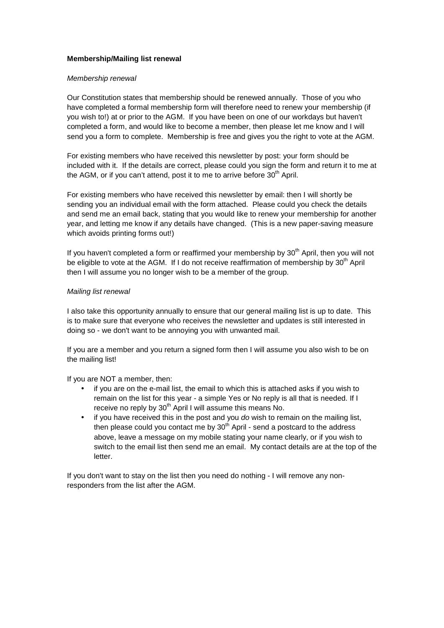## **Membership/Mailing list renewal**

#### Membership renewal

Our Constitution states that membership should be renewed annually. Those of you who have completed a formal membership form will therefore need to renew your membership (if you wish to!) at or prior to the AGM. If you have been on one of our workdays but haven't completed a form, and would like to become a member, then please let me know and I will send you a form to complete. Membership is free and gives you the right to vote at the AGM.

For existing members who have received this newsletter by post: your form should be included with it. If the details are correct, please could you sign the form and return it to me at the AGM, or if you can't attend, post it to me to arrive before  $30<sup>th</sup>$  April.

For existing members who have received this newsletter by email: then I will shortly be sending you an individual email with the form attached. Please could you check the details and send me an email back, stating that you would like to renew your membership for another year, and letting me know if any details have changed. (This is a new paper-saving measure which avoids printing forms out!)

If you haven't completed a form or reaffirmed your membership by  $30<sup>th</sup>$  April, then you will not be eligible to vote at the AGM. If I do not receive reaffirmation of membership by 30<sup>th</sup> April then I will assume you no longer wish to be a member of the group.

## Mailing list renewal

I also take this opportunity annually to ensure that our general mailing list is up to date. This is to make sure that everyone who receives the newsletter and updates is still interested in doing so - we don't want to be annoying you with unwanted mail.

If you are a member and you return a signed form then I will assume you also wish to be on the mailing list!

If you are NOT a member, then:

- if you are on the e-mail list, the email to which this is attached asks if you wish to remain on the list for this year - a simple Yes or No reply is all that is needed. If I receive no reply by 30<sup>th</sup> April I will assume this means No.
- if you have received this in the post and you do wish to remain on the mailing list, then please could you contact me by  $30<sup>th</sup>$  April - send a postcard to the address above, leave a message on my mobile stating your name clearly, or if you wish to switch to the email list then send me an email. My contact details are at the top of the letter.

If you don't want to stay on the list then you need do nothing - I will remove any nonresponders from the list after the AGM.